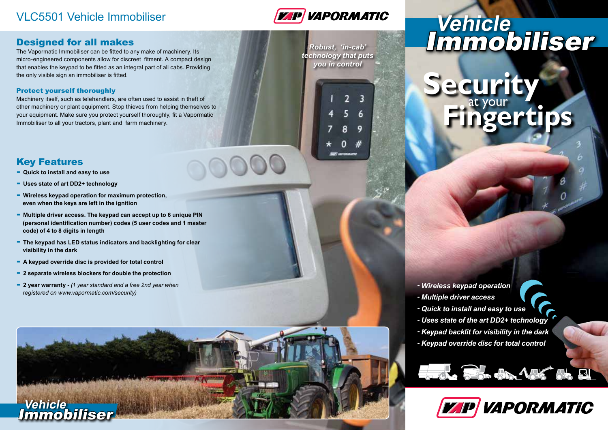### VLC5501 Vehicle Immobiliser



### Designed for all makes

The Vapormatic Immobiliser can be fitted to any make of machinery. Its micro-engineered components allow for discreet fitment. A compact design that enables the keypad to be fitted as an integral part of all cabs. Providing the only visible sign an immobiliser is fitted.

#### Protect yourself thoroughly

Machinery itself, such as telehandlers, are often used to assist in theft of other machinery or plant equipment. Stop thieves from helping themselves to your equipment. Make sure you protect yourself thoroughly, fit a Vapormatic Immobiliser to all your tractors, plant and farm machinery.

### Key Features

- **- Quick to install and easy to use**
- **- Uses state of art DD2+ technology**
- **- Wireless keypad operation for maximum protection, even when the keys are left in the ignition**
- **- Multiple driver access. The keypad can accept up to 6 unique PIN (personal identification number) codes (5 user codes and 1 master code) of 4 to 8 digits in length**
- **- The keypad has LED status indicators and backlighting for clear visibility in the dark**
- **- A keypad override disc is provided for total control**
- **- <sup>2</sup> separate wireless blockers for double the protection**
- **- 2 year warranty** *(1 year standard and a free 2nd year when registered on www.vapormatic.com/security)*



*Robust, 'in-cab' technology that puts you in control*

# **Vehicle** Immobiliser

e curity **Fingertips**

*- Wireless keypad operation*

- *Multiple driver access*
- *Quick to install and easy to use*
- *Uses state of the art DD2+ technology*
- *Keypad backlit for visibility in the dark*
- *Keypad override disc for total control*